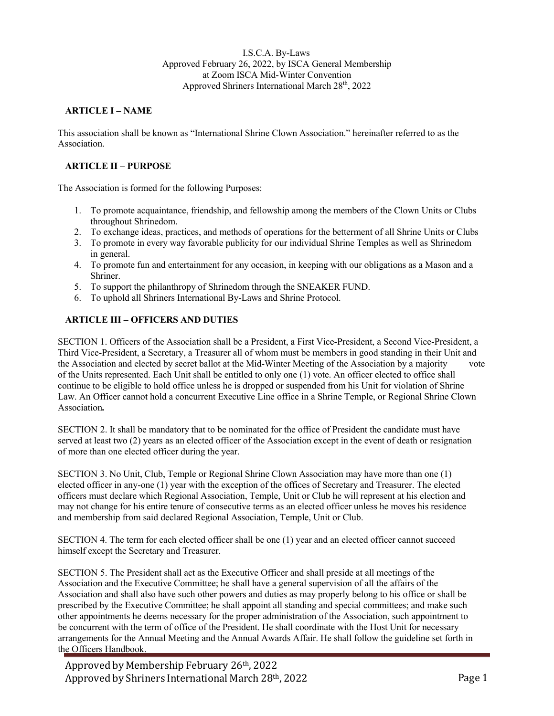I.S.C.A. By-Laws Approved February 26, 2022, by ISCA General Membership at Zoom ISCA Mid-Winter Convention Approved Shriners International March 28<sup>th</sup>, 2022

#### **ARTICLE I – NAME**

This association shall be known as "International Shrine Clown Association." hereinafter referred to as the Association.

#### **ARTICLE II – PURPOSE**

The Association is formed for the following Purposes:

- 1. To promote acquaintance, friendship, and fellowship among the members of the Clown Units or Clubs throughout Shrinedom.
- 2. To exchange ideas, practices, and methods of operations for the betterment of all Shrine Units or Clubs
- 3. To promote in every way favorable publicity for our individual Shrine Temples as well as Shrinedom in general.
- 4. To promote fun and entertainment for any occasion, in keeping with our obligations as a Mason and a Shriner.
- 5. To support the philanthropy of Shrinedom through the SNEAKER FUND.
- 6. To uphold all Shriners International By-Laws and Shrine Protocol.

### **ARTICLE III – OFFICERS AND DUTIES**

SECTION 1. Officers of the Association shall be a President, a First Vice-President, a Second Vice-President, a Third Vice-President, a Secretary, a Treasurer all of whom must be members in good standing in their Unit and the Association and elected by secret ballot at the Mid-Winter Meeting of the Association by a majority vote of the Units represented. Each Unit shall be entitled to only one (1) vote. An officer elected to office shall continue to be eligible to hold office unless he is dropped or suspended from his Unit for violation of Shrine Law. An Officer cannot hold a concurrent Executive Line office in a Shrine Temple, or Regional Shrine Clown Association*.*

SECTION 2. It shall be mandatory that to be nominated for the office of President the candidate must have served at least two (2) years as an elected officer of the Association except in the event of death or resignation of more than one elected officer during the year.

SECTION 3. No Unit, Club, Temple or Regional Shrine Clown Association may have more than one (1) elected officer in any-one (1) year with the exception of the offices of Secretary and Treasurer. The elected officers must declare which Regional Association, Temple, Unit or Club he will represent at his election and may not change for his entire tenure of consecutive terms as an elected officer unless he moves his residence and membership from said declared Regional Association, Temple, Unit or Club.

SECTION 4. The term for each elected officer shall be one (1) year and an elected officer cannot succeed himself except the Secretary and Treasurer.

SECTION 5. The President shall act as the Executive Officer and shall preside at all meetings of the Association and the Executive Committee; he shall have a general supervision of all the affairs of the Association and shall also have such other powers and duties as may properly belong to his office or shall be prescribed by the Executive Committee; he shall appoint all standing and special committees; and make such other appointments he deems necessary for the proper administration of the Association, such appointment to be concurrent with the term of office of the President. He shall coordinate with the Host Unit for necessary arrangements for the Annual Meeting and the Annual Awards Affair. He shall follow the guideline set forth in the Officers Handbook.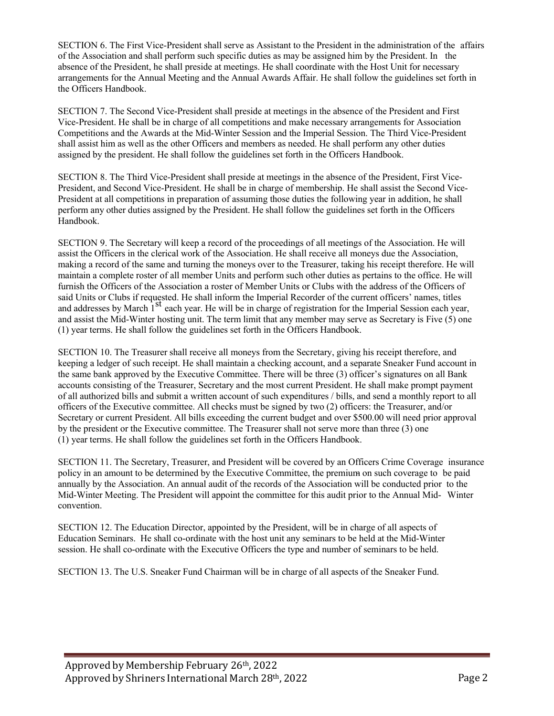SECTION 6. The First Vice-President shall serve as Assistant to the President in the administration of the affairs of the Association and shall perform such specific duties as may be assigned him by the President. In the absence of the President, he shall preside at meetings. He shall coordinate with the Host Unit for necessary arrangements for the Annual Meeting and the Annual Awards Affair. He shall follow the guidelines set forth in the Officers Handbook.

SECTION 7. The Second Vice-President shall preside at meetings in the absence of the President and First Vice-President. He shall be in charge of all competitions and make necessary arrangements for Association Competitions and the Awards at the Mid-Winter Session and the Imperial Session. The Third Vice-President shall assist him as well as the other Officers and members as needed. He shall perform any other duties assigned by the president. He shall follow the guidelines set forth in the Officers Handbook.

SECTION 8. The Third Vice-President shall preside at meetings in the absence of the President, First Vice-President, and Second Vice-President. He shall be in charge of membership. He shall assist the Second Vice-President at all competitions in preparation of assuming those duties the following year in addition, he shall perform any other duties assigned by the President. He shall follow the guidelines set forth in the Officers Handbook.

SECTION 9. The Secretary will keep a record of the proceedings of all meetings of the Association. He will assist the Officers in the clerical work of the Association. He shall receive all moneys due the Association, making a record of the same and turning the moneys over to the Treasurer, taking his receipt therefore. He will maintain a complete roster of all member Units and perform such other duties as pertains to the office. He will furnish the Officers of the Association a roster of Member Units or Clubs with the address of the Officers of said Units or Clubs if requested. He shall inform the Imperial Recorder of the current officers' names, titles and addresses by March  $1<sup>st</sup>$  each year. He will be in charge of registration for the Imperial Session each year, and assist the Mid-Winter hosting unit. The term limit that any member may serve as Secretary is Five (5) one (1) year terms. He shall follow the guidelines set forth in the Officers Handbook.

SECTION 10. The Treasurer shall receive all moneys from the Secretary, giving his receipt therefore, and keeping a ledger of such receipt. He shall maintain a checking account, and a separate Sneaker Fund account in the same bank approved by the Executive Committee. There will be three (3) officer's signatures on all Bank accounts consisting of the Treasurer, Secretary and the most current President. He shall make prompt payment of all authorized bills and submit a written account of such expenditures / bills, and send a monthly report to all officers of the Executive committee. All checks must be signed by two (2) officers: the Treasurer, and/or Secretary or current President. All bills exceeding the current budget and over \$500.00 will need prior approval by the president or the Executive committee. The Treasurer shall not serve more than three (3) one (1) year terms. He shall follow the guidelines set forth in the Officers Handbook.

SECTION 11. The Secretary, Treasurer, and President will be covered by an Officers Crime Coverage insurance policy in an amount to be determined by the Executive Committee, the premium on such coverage to be paid annually by the Association. An annual audit of the records of the Association will be conducted prior to the Mid-Winter Meeting. The President will appoint the committee for this audit prior to the Annual Mid- Winter convention.

SECTION 12. The Education Director, appointed by the President, will be in charge of all aspects of Education Seminars. He shall co-ordinate with the host unit any seminars to be held at the Mid-Winter session. He shall co-ordinate with the Executive Officers the type and number of seminars to be held.

SECTION 13. The U.S. Sneaker Fund Chairman will be in charge of all aspects of the Sneaker Fund.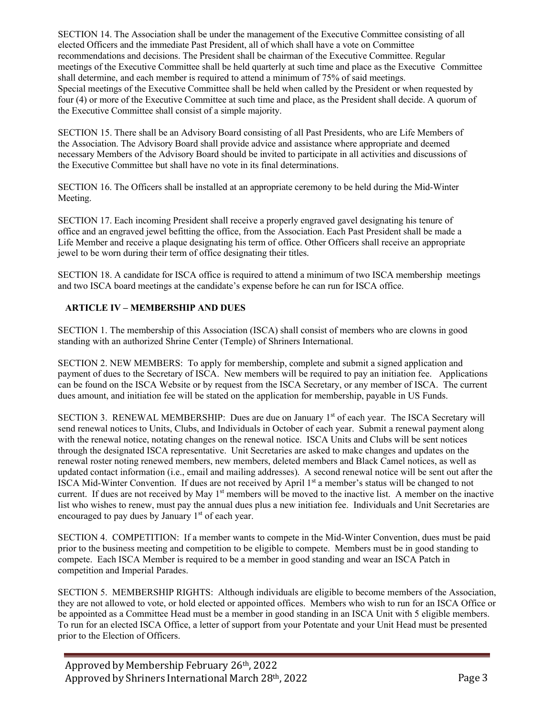SECTION 14. The Association shall be under the management of the Executive Committee consisting of all elected Officers and the immediate Past President, all of which shall have a vote on Committee recommendations and decisions. The President shall be chairman of the Executive Committee. Regular meetings of the Executive Committee shall be held quarterly at such time and place as the Executive Committee shall determine, and each member is required to attend a minimum of 75% of said meetings. Special meetings of the Executive Committee shall be held when called by the President or when requested by four (4) or more of the Executive Committee at such time and place, as the President shall decide. A quorum of the Executive Committee shall consist of a simple majority.

SECTION 15. There shall be an Advisory Board consisting of all Past Presidents, who are Life Members of the Association. The Advisory Board shall provide advice and assistance where appropriate and deemed necessary Members of the Advisory Board should be invited to participate in all activities and discussions of the Executive Committee but shall have no vote in its final determinations.

SECTION 16. The Officers shall be installed at an appropriate ceremony to be held during the Mid-Winter Meeting.

SECTION 17. Each incoming President shall receive a properly engraved gavel designating his tenure of office and an engraved jewel befitting the office, from the Association. Each Past President shall be made a Life Member and receive a plaque designating his term of office. Other Officers shall receive an appropriate jewel to be worn during their term of office designating their titles.

SECTION 18. A candidate for ISCA office is required to attend a minimum of two ISCA membership meetings and two ISCA board meetings at the candidate's expense before he can run for ISCA office.

# **ARTICLE IV – MEMBERSHIP AND DUES**

SECTION 1. The membership of this Association (ISCA) shall consist of members who are clowns in good standing with an authorized Shrine Center (Temple) of Shriners International.

SECTION 2. NEW MEMBERS: To apply for membership, complete and submit a signed application and payment of dues to the Secretary of ISCA. New members will be required to pay an initiation fee. Applications can be found on the ISCA Website or by request from the ISCA Secretary, or any member of ISCA. The current dues amount, and initiation fee will be stated on the application for membership, payable in US Funds.

SECTION 3. RENEWAL MEMBERSHIP: Dues are due on January 1<sup>st</sup> of each year. The ISCA Secretary will send renewal notices to Units, Clubs, and Individuals in October of each year. Submit a renewal payment along with the renewal notice, notating changes on the renewal notice. ISCA Units and Clubs will be sent notices through the designated ISCA representative. Unit Secretaries are asked to make changes and updates on the renewal roster noting renewed members, new members, deleted members and Black Camel notices, as well as updated contact information (i.e., email and mailing addresses). A second renewal notice will be sent out after the ISCA Mid-Winter Convention. If dues are not received by April 1st a member's status will be changed to not current. If dues are not received by May  $1<sup>st</sup>$  members will be moved to the inactive list. A member on the inactive list who wishes to renew, must pay the annual dues plus a new initiation fee. Individuals and Unit Secretaries are encouraged to pay dues by January  $1<sup>st</sup>$  of each year.

SECTION 4. COMPETITION: If a member wants to compete in the Mid-Winter Convention, dues must be paid prior to the business meeting and competition to be eligible to compete. Members must be in good standing to compete. Each ISCA Member is required to be a member in good standing and wear an ISCA Patch in competition and Imperial Parades.

SECTION 5. MEMBERSHIP RIGHTS: Although individuals are eligible to become members of the Association, they are not allowed to vote, or hold elected or appointed offices. Members who wish to run for an ISCA Office or be appointed as a Committee Head must be a member in good standing in an ISCA Unit with 5 eligible members. To run for an elected ISCA Office, a letter of support from your Potentate and your Unit Head must be presented prior to the Election of Officers.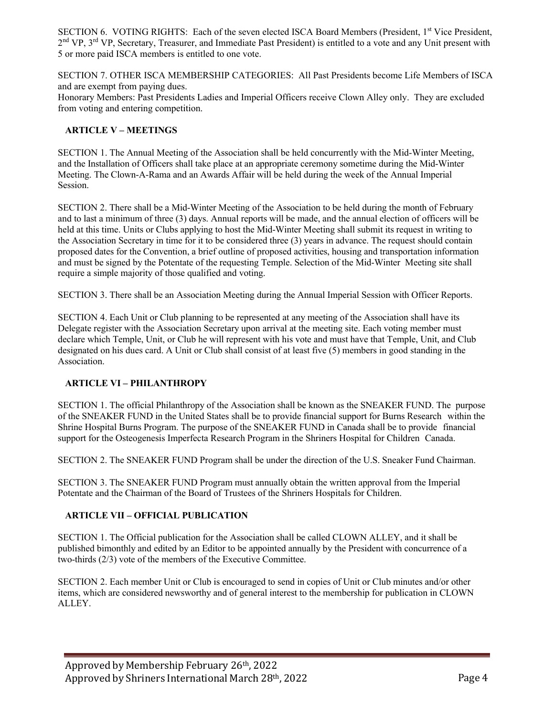SECTION 6. VOTING RIGHTS: Each of the seven elected ISCA Board Members (President, 1<sup>st</sup> Vice President, 2<sup>nd</sup> VP, 3<sup>rd</sup> VP, Secretary, Treasurer, and Immediate Past President) is entitled to a vote and any Unit present with 5 or more paid ISCA members is entitled to one vote.

SECTION 7. OTHER ISCA MEMBERSHIP CATEGORIES: All Past Presidents become Life Members of ISCA and are exempt from paying dues. Honorary Members: Past Presidents Ladies and Imperial Officers receive Clown Alley only. They are excluded from voting and entering competition.

## **ARTICLE V – MEETINGS**

SECTION 1. The Annual Meeting of the Association shall be held concurrently with the Mid-Winter Meeting, and the Installation of Officers shall take place at an appropriate ceremony sometime during the Mid-Winter Meeting. The Clown-A-Rama and an Awards Affair will be held during the week of the Annual Imperial Session.

SECTION 2. There shall be a Mid-Winter Meeting of the Association to be held during the month of February and to last a minimum of three (3) days. Annual reports will be made, and the annual election of officers will be held at this time. Units or Clubs applying to host the Mid-Winter Meeting shall submit its request in writing to the Association Secretary in time for it to be considered three (3) years in advance. The request should contain proposed dates for the Convention, a brief outline of proposed activities, housing and transportation information and must be signed by the Potentate of the requesting Temple. Selection of the Mid-Winter Meeting site shall require a simple majority of those qualified and voting.

SECTION 3. There shall be an Association Meeting during the Annual Imperial Session with Officer Reports.

SECTION 4. Each Unit or Club planning to be represented at any meeting of the Association shall have its Delegate register with the Association Secretary upon arrival at the meeting site. Each voting member must declare which Temple, Unit, or Club he will represent with his vote and must have that Temple, Unit, and Club designated on his dues card. A Unit or Club shall consist of at least five (5) members in good standing in the Association.

# **ARTICLE VI – PHILANTHROPY**

SECTION 1. The official Philanthropy of the Association shall be known as the SNEAKER FUND. The purpose of the SNEAKER FUND in the United States shall be to provide financial support for Burns Research within the Shrine Hospital Burns Program. The purpose of the SNEAKER FUND in Canada shall be to provide financial support for the Osteogenesis Imperfecta Research Program in the Shriners Hospital for Children Canada.

SECTION 2. The SNEAKER FUND Program shall be under the direction of the U.S. Sneaker Fund Chairman.

SECTION 3. The SNEAKER FUND Program must annually obtain the written approval from the Imperial Potentate and the Chairman of the Board of Trustees of the Shriners Hospitals for Children.

### **ARTICLE VII – OFFICIAL PUBLICATION**

SECTION 1. The Official publication for the Association shall be called CLOWN ALLEY, and it shall be published bimonthly and edited by an Editor to be appointed annually by the President with concurrence of a two-thirds (2/3) vote of the members of the Executive Committee.

SECTION 2. Each member Unit or Club is encouraged to send in copies of Unit or Club minutes and/or other items, which are considered newsworthy and of general interest to the membership for publication in CLOWN ALLEY.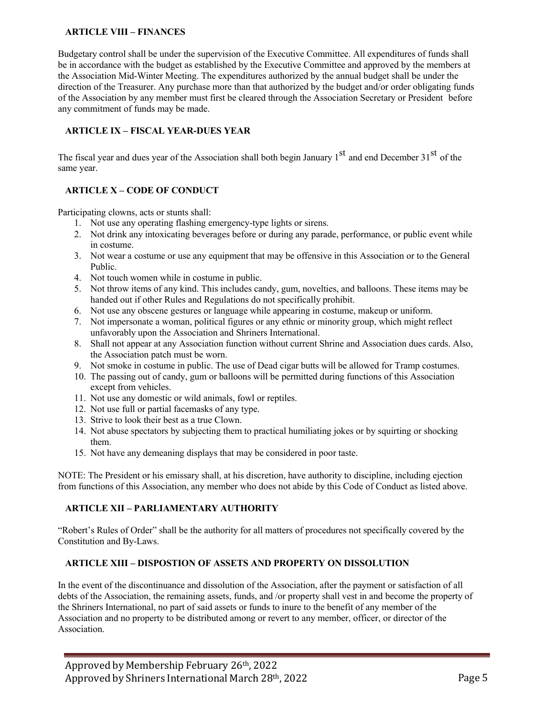## **ARTICLE VIII – FINANCES**

Budgetary control shall be under the supervision of the Executive Committee. All expenditures of funds shall be in accordance with the budget as established by the Executive Committee and approved by the members at the Association Mid-Winter Meeting. The expenditures authorized by the annual budget shall be under the direction of the Treasurer. Any purchase more than that authorized by the budget and/or order obligating funds of the Association by any member must first be cleared through the Association Secretary or President before any commitment of funds may be made.

### **ARTICLE IX – FISCAL YEAR-DUES YEAR**

The fiscal year and dues year of the Association shall both begin January 1<sup>st</sup> and end December 31<sup>st</sup> of the same year.

## **ARTICLE X – CODE OF CONDUCT**

Participating clowns, acts or stunts shall:

- 1. Not use any operating flashing emergency-type lights or sirens.
- 2. Not drink any intoxicating beverages before or during any parade, performance, or public event while in costume.
- 3. Not wear a costume or use any equipment that may be offensive in this Association or to the General Public.
- 4. Not touch women while in costume in public.
- 5. Not throw items of any kind. This includes candy, gum, novelties, and balloons. These items may be handed out if other Rules and Regulations do not specifically prohibit.
- 6. Not use any obscene gestures or language while appearing in costume, makeup or uniform.
- 7. Not impersonate a woman, political figures or any ethnic or minority group, which might reflect unfavorably upon the Association and Shriners International.
- 8. Shall not appear at any Association function without current Shrine and Association dues cards. Also, the Association patch must be worn.
- 9. Not smoke in costume in public. The use of Dead cigar butts will be allowed for Tramp costumes.
- 10. The passing out of candy, gum or balloons will be permitted during functions of this Association except from vehicles.
- 11. Not use any domestic or wild animals, fowl or reptiles.
- 12. Not use full or partial facemasks of any type.
- 13. Strive to look their best as a true Clown.
- 14. Not abuse spectators by subjecting them to practical humiliating jokes or by squirting or shocking them.
- 15. Not have any demeaning displays that may be considered in poor taste.

NOTE: The President or his emissary shall, at his discretion, have authority to discipline, including ejection from functions of this Association, any member who does not abide by this Code of Conduct as listed above.

# **ARTICLE XII – PARLIAMENTARY AUTHORITY**

"Robert's Rules of Order" shall be the authority for all matters of procedures not specifically covered by the Constitution and By-Laws.

### **ARTICLE XIII – DISPOSTION OF ASSETS AND PROPERTY ON DISSOLUTION**

In the event of the discontinuance and dissolution of the Association, after the payment or satisfaction of all debts of the Association, the remaining assets, funds, and /or property shall vest in and become the property of the Shriners International, no part of said assets or funds to inure to the benefit of any member of the Association and no property to be distributed among or revert to any member, officer, or director of the Association.